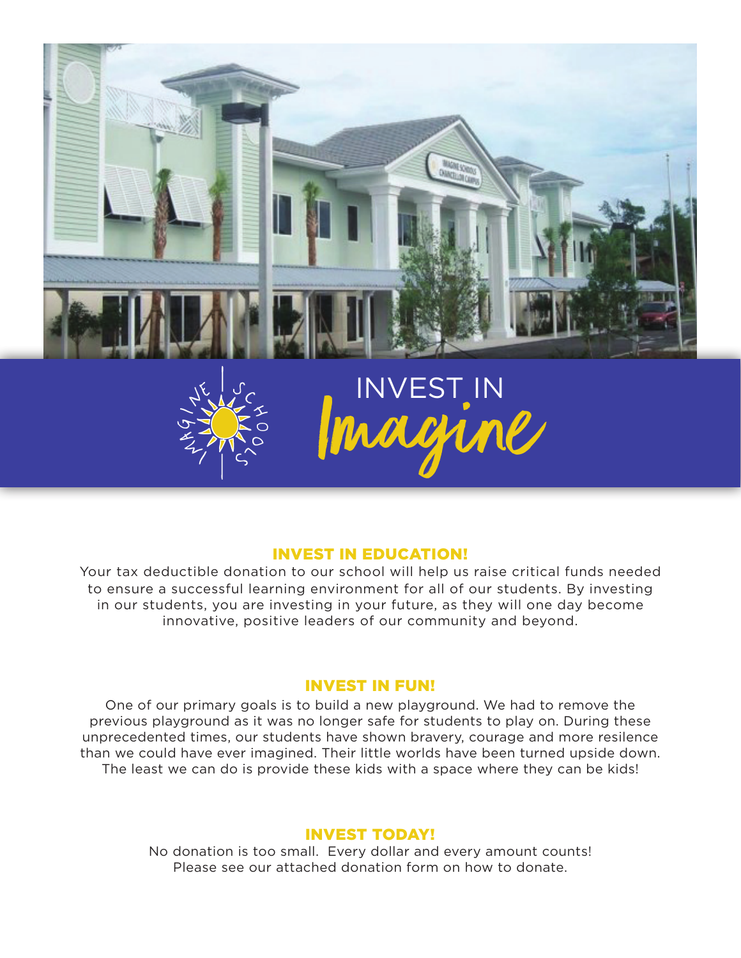

## INVEST IN EDUCATION!

Your tax deductible donation to our school will help us raise critical funds needed to ensure a successful learning environment for all of our students. By investing in our students, you are investing in your future, as they will one day become innovative, positive leaders of our community and beyond.

## INVEST IN FUN!

One of our primary goals is to build a new playground. We had to remove the previous playground as it was no longer safe for students to play on. During these unprecedented times, our students have shown bravery, courage and more resilence than we could have ever imagined. Their little worlds have been turned upside down. The least we can do is provide these kids with a space where they can be kids!

## INVEST TODAY!

No donation is too small. Every dollar and every amount counts! Please see our attached donation form on how to donate.